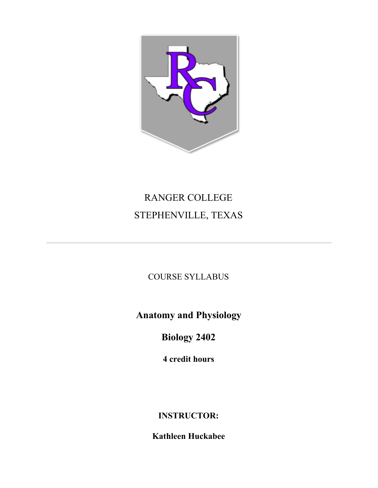

# RANGER COLLEGE STEPHENVILLE, TEXAS

COURSE SYLLABUS

**Anatomy and Physiology**

**Biology 2402**

**4 credit hours**

# **INSTRUCTOR:**

**Kathleen Huckabee**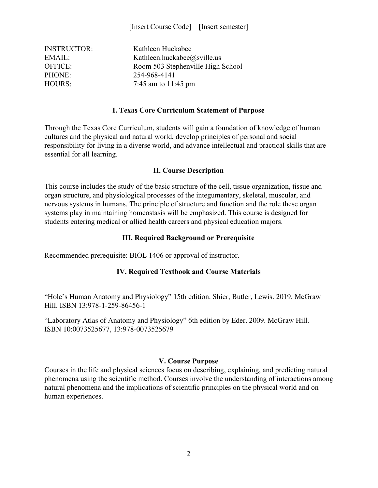| <b>INSTRUCTOR:</b> | Kathleen Huckabee                 |
|--------------------|-----------------------------------|
| EMAIL:             | Kathleen.huckabee@sville.us       |
| OFFICE:            | Room 503 Stephenville High School |
| PHONE:             | 254-968-4141                      |
| <b>HOURS:</b>      | 7:45 am to $11:45$ pm             |

#### **I. Texas Core Curriculum Statement of Purpose**

Through the Texas Core Curriculum, students will gain a foundation of knowledge of human cultures and the physical and natural world, develop principles of personal and social responsibility for living in a diverse world, and advance intellectual and practical skills that are essential for all learning.

#### **II. Course Description**

This course includes the study of the basic structure of the cell, tissue organization, tissue and organ structure, and physiological processes of the integumentary, skeletal, muscular, and nervous systems in humans. The principle of structure and function and the role these organ systems play in maintaining homeostasis will be emphasized. This course is designed for students entering medical or allied health careers and physical education majors.

#### **III. Required Background or Prerequisite**

Recommended prerequisite: BIOL 1406 or approval of instructor.

#### **IV. Required Textbook and Course Materials**

"Hole's Human Anatomy and Physiology" 15th edition. Shier, Butler, Lewis. 2019. McGraw Hill. ISBN 13:978-1-259-86456-1

"Laboratory Atlas of Anatomy and Physiology" 6th edition by Eder. 2009. McGraw Hill. ISBN 10:0073525677, 13:978-0073525679

#### **V. Course Purpose**

Courses in the life and physical sciences focus on describing, explaining, and predicting natural phenomena using the scientific method. Courses involve the understanding of interactions among natural phenomena and the implications of scientific principles on the physical world and on human experiences.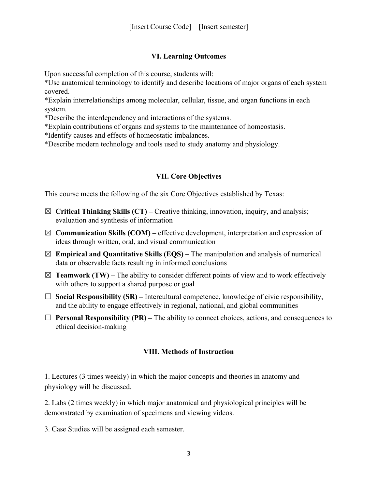# **VI. Learning Outcomes**

Upon successful completion of this course, students will:

\*Use anatomical terminology to identify and describe locations of major organs of each system covered.

\*Explain interrelationships among molecular, cellular, tissue, and organ functions in each system.

\*Describe the interdependency and interactions of the systems.

\*Explain contributions of organs and systems to the maintenance of homeostasis.

\*Identify causes and effects of homeostatic imbalances.

\*Describe modern technology and tools used to study anatomy and physiology.

# **VII. Core Objectives**

This course meets the following of the six Core Objectives established by Texas:

- ☒ **Critical Thinking Skills (CT)** Creative thinking, innovation, inquiry, and analysis; evaluation and synthesis of information
- $\boxtimes$  **Communication Skills (COM)** effective development, interpretation and expression of ideas through written, oral, and visual communication
- $\boxtimes$  **Empirical and Quantitative Skills (EQS)** The manipulation and analysis of numerical data or observable facts resulting in informed conclusions
- $\boxtimes$  **Teamwork (TW)** The ability to consider different points of view and to work effectively with others to support a shared purpose or goal
- $\Box$  **Social Responsibility (SR)** Intercultural competence, knowledge of civic responsibility, and the ability to engage effectively in regional, national, and global communities
- $\Box$  **Personal Responsibility (PR)** The ability to connect choices, actions, and consequences to ethical decision-making

# **VIII. Methods of Instruction**

1. Lectures (3 times weekly) in which the major concepts and theories in anatomy and physiology will be discussed.

2. Labs (2 times weekly) in which major anatomical and physiological principles will be demonstrated by examination of specimens and viewing videos.

3. Case Studies will be assigned each semester.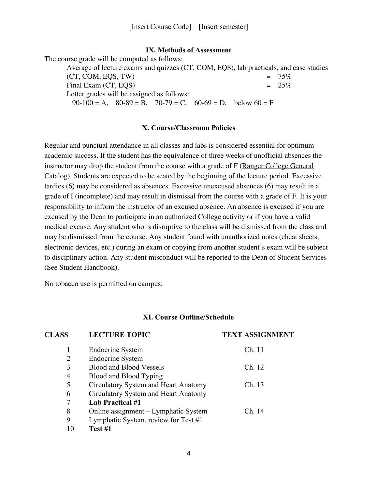### **IX. Methods of Assessment**

The course grade will be computed as follows:

Average of lecture exams and quizzes (CT, COM, EQS), lab practicals, and case studies (CT, COM, EQS, TW)  $= 75\%$ <br>Final Exam (CT, EOS)  $= 25\%$ Final Exam (CT, EQS) Letter grades will be assigned as follows:  $90-100 = A$ ,  $80-89 = B$ ,  $70-79 = C$ ,  $60-69 = D$ , below  $60 = F$ 

### **X. Course/Classroom Policies**

Regular and punctual attendance in all classes and labs is considered essential for optimum academic success. If the student has the equivalence of three weeks of unofficial absences the instructor may drop the student from the course with a grade of F (Ranger College General Catalog). Students are expected to be seated by the beginning of the lecture period. Excessive tardies (6) may be considered as absences. Excessive unexcused absences (6) may result in a grade of I (incomplete) and may result in dismissal from the course with a grade of F. It is your responsibility to inform the instructor of an excused absence. An absence is excused if you are excused by the Dean to participate in an authorized College activity or if you have a valid medical excuse. Any student who is disruptive to the class will be dismissed from the class and may be dismissed from the course. Any student found with unauthorized notes (cheat sheets, electronic devices, etc.) during an exam or copying from another student's exam will be subject to disciplinary action. Any student misconduct will be reported to the Dean of Student Services (See Student Handbook).

No tobacco use is permitted on campus.

#### **XI. Course Outline/Schedule**

| <b>CLASS</b> | <b>LECTURE TOPIC</b>                   | <b>TEXT ASSIGNMENT</b> |
|--------------|----------------------------------------|------------------------|
|              | Endocrine System                       | Ch. 11                 |
| 2            | <b>Endocrine System</b>                |                        |
| 3            | <b>Blood and Blood Vessels</b>         | Ch. 12                 |
| 4            | Blood and Blood Typing                 |                        |
| 5            | Circulatory System and Heart Anatomy   | Ch. 13                 |
| 6            | Circulatory System and Heart Anatomy   |                        |
| 7            | <b>Lab Practical #1</b>                |                        |
| 8            | Online assignment - Lymphatic System   | Ch. 14                 |
| 9            | Lymphatic System, review for Test $#1$ |                        |
|              | Test #1                                |                        |